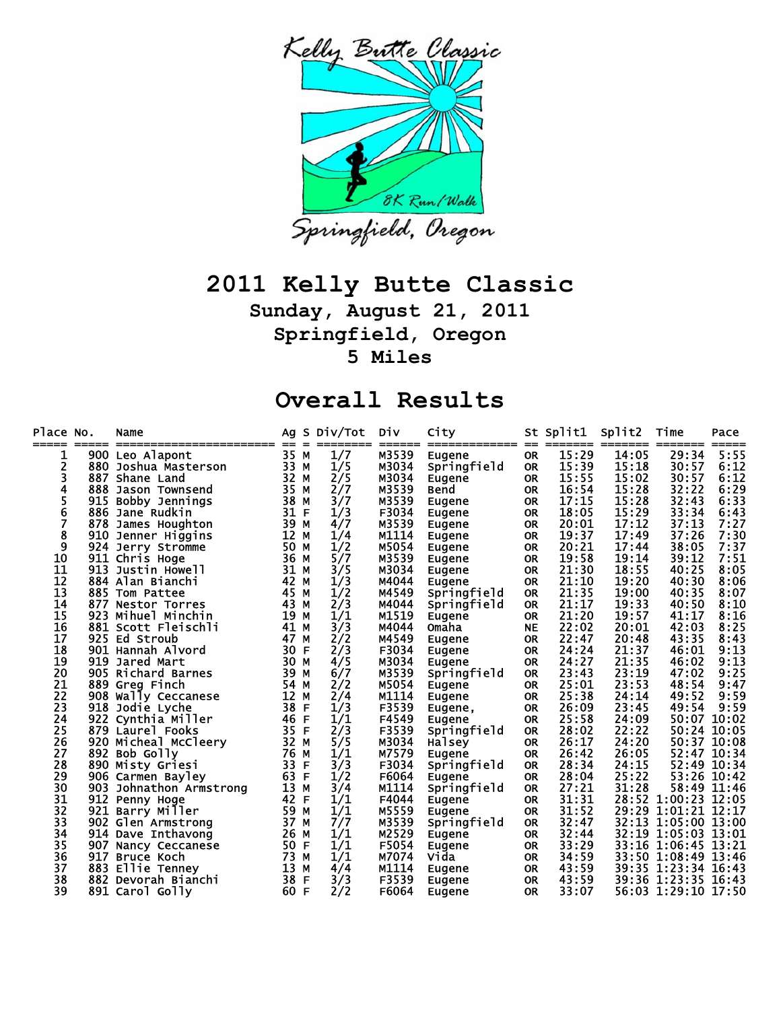

## **2011 Kelly Butte Classic**

**Sunday, August 21, 2011 Springfield, Oregon 5 Miles** 

## **Overall Results**

| Place No.<br>===== |     | Name                    |      |     | Ag S Div/Tot | Div   | City          |           | St Split1 | Split2 | Time              | Pace        |
|--------------------|-----|-------------------------|------|-----|--------------|-------|---------------|-----------|-----------|--------|-------------------|-------------|
| ı                  |     | 900 Leo Alapont         | 35 M |     | 1/7          | M3539 | Eugene        | <b>OR</b> | 15:29     | 14:05  | 29:34             | 5:55        |
| 2                  |     | 880 Joshua Masterson    | 33 M |     | 1/5          | M3034 | Springfield   | <b>OR</b> | 15:39     | 15:18  | 30:57             | 6:12        |
| 3                  |     | 887 Shane Land          | 32 M |     | 2/5          | M3034 | Eugene        | <b>OR</b> | 15:55     | 15:02  | 30:57             | 6:12        |
| 4                  |     | 888 Jason Townsend      | 35 M |     | 2/7          | M3539 | <b>Bend</b>   | <b>OR</b> | 16:54     | 15:28  | 32:22             | 6:29        |
| 5                  | 915 | Bobby Jennings          | 38   | M   | 3/7          | M3539 | Eugene        | <b>OR</b> | 17:15     | 15:28  | 32:43             | 6:33        |
| 6                  |     | 886 Jane Rudkin         | 31   | F   | 1/3          | F3034 | Eugene        | <b>OR</b> | 18:05     | 15:29  | 33:34             | 6:43        |
| 7                  |     | 878 James Houghton      | 39   | M   | 4/7          | M3539 | Eugene        | <b>OR</b> | 20:01     | 17:12  | 37:13             | 7:27        |
| 8                  |     | 910 Jenner Higgins      | 12 M |     | 1/4          | M1114 | Eugene        | <b>OR</b> | 19:37     | 17:49  | 37:26             | 7:30        |
| 9                  |     | 924 Jerry Stromme       | 50   | M   | 1/2          | M5054 | Eugene        | <b>OR</b> | 20:21     | 17:44  | 38:05             | 7:37        |
| 10                 |     | 911 Chris Hoge          | 36 M |     | 5/7          | M3539 | Eugene        | <b>OR</b> | 19:58     | 19:14  | 39:12             | 7:51        |
| 11                 |     | 913 Justin Howell       | 31   | M   | 3/5          | M3034 | Eugene        | <b>OR</b> | 21:30     | 18:55  | 40:25             | 8:05        |
| 12                 |     | 884 Alan Bianchi        | 42   | M   | 1/3          | M4044 | Eugene        | <b>OR</b> | 21:10     | 19:20  | 40:30             | 8:06        |
| 13                 |     | 885 Tom Pattee          | 45 M |     | 1/2          | M4549 | Springfield   | <b>OR</b> | 21:35     | 19:00  | 40:35             | 8:07        |
| 14                 |     | 877 Nestor Torres       | 43 M |     | 2/3          | M4044 | Springfield   | <b>OR</b> | 21:17     | 19:33  | 40:50             | 8:10        |
| 15                 |     | 923 Mihuel Minchin      | 19   | M   | 1/1          | M1519 | <b>Eugene</b> | <b>OR</b> | 21:20     | 19:57  | 41:17             | 8:16        |
| 16                 |     | 881 Scott Fleischli     | 41   | M   | 3/3          | M4044 | Omaha         | <b>NE</b> | 22:02     | 20:01  | 42:03             | 8:25        |
| 17                 |     | 925 Ed Stroub           | 47   | M   | 2/2          | M4549 | Eugene        | <b>OR</b> | 22:47     | 20:48  | 43:35             | 8:43        |
| 18                 |     | 901 Hannah Alvord       | 30 F |     | 2/3          | F3034 | Eugene        | <b>OR</b> | 24:24     | 21:37  | 46:01             | 9:13        |
| 19                 |     | 919 Jared Mart          | 30 M |     | 4/5          | M3034 | Eugene        | <b>OR</b> | 24:27     | 21:35  | 46:02             | 9:13        |
| 20                 |     | 905 Richard Barnes      | 39 M |     | 6/7          | M3539 | Springfield   | <b>OR</b> | 23:43     | 23:19  | 47:02             | 9:25        |
| 21                 |     | 889 Greg Finch          | 54   | M   | 2/2          | M5054 | <b>Eugene</b> | <b>OR</b> | 25:01     | 23:53  | 48:54             | 9:47        |
| 22                 |     | 908 Wally Ceccanese     | 12   | M   | 2/4          | M1114 | Eugene        | <b>OR</b> | 25:38     | 24:14  | 49:52             | 9:59        |
| 23                 |     | 918 Jodie Lyche         | 38   | F   | 1/3          | F3539 | Eugene,       | <b>OR</b> | 26:09     | 23:45  | 49:54             | 9:59        |
| 24                 |     | 922 Cynthia Miller      | 46 F |     | 1/1          | F4549 | Eugene        | <b>OR</b> | 25:58     | 24:09  | 50:07             | 10:02       |
| 25                 |     | 879 Laurel Fooks        | 35   | - F | 2/3          | F3539 | Springfield   | <b>OR</b> | 28:02     | 22:22  |                   | 50:24 10:05 |
| 26                 |     | 920 Micheal McCleery    | 32 M |     | 5/5          | M3034 | Halsey        | <b>OR</b> | 26:17     | 24:20  |                   | 50:37 10:08 |
| 27                 |     | 892 Bob Golly           | 76   | M   | 1/1          | M7579 | Eugene        | <b>OR</b> | 26:42     | 26:05  |                   | 52:47 10:34 |
| 28                 |     | 890 Misty Griesi        | 33   | F   | 3/3          | F3034 | Springfield   | <b>OR</b> | 28:34     | 24:15  | 52:49             | 10:34       |
| 29                 |     | 906 Carmen Bayley       | 63 F |     | 1/2          | F6064 | Eugene        | <b>OR</b> | 28:04     | 25:22  |                   | 53:26 10:42 |
| 30                 |     | 903 Johnathon Armstrong | 13   | M   | 3/4          | M1114 | Springfield   | <b>OR</b> | 27:21     | 31:28  |                   | 58:49 11:46 |
| 31                 | 912 | Penny Hoge              | 42 F |     | 1/1          | F4044 | Eugene        | <b>OR</b> | 31:31     | 28:52  | 1:00:23 12:05     |             |
| 32                 | 921 | Barry Miller            | 59   | M   | 1/1          | M5559 | Eugene        | <b>OR</b> | 31:52     | 29:29  | $1:01:21$ $12:17$ |             |
| 33                 |     | 902 Glen Armstrong      | 37   | M   | 7/7          | M3539 | Springfield   | <b>OR</b> | 32:47     | 32:13  | 1:05:00 13:00     |             |
| 34                 |     | 914 Dave Inthavong      | 26 M |     | 1/1          | M2529 | <b>Eugene</b> | <b>OR</b> | 32:44     | 32:19  | $1:05:03$ $13:01$ |             |
| 35                 |     | 907 Nancy Ceccanese     | 50 F |     | 1/1          | F5054 | Eugene        | <b>OR</b> | 33:29     | 33:16  | 1:06:45 13:21     |             |
| 36                 |     | 917 Bruce Koch          | 73   | M   | 1/1          | M7074 | Vida          | <b>OR</b> | 34:59     | 33:50  | 1:08:49 13:46     |             |
| 37                 |     | 883 Ellie Tenney        | 13   | M   | 4/4          | M1114 | Eugene        | <b>OR</b> | 43:59     | 39:35  | 1:23:34           | 16:43       |
| 38                 |     | 882 Devorah Bianchi     | 38   | F   | 3/3          | F3539 | Eugene        | <b>OR</b> | 43:59     | 39:36  | 1:23:35           | 16:43       |
| 39                 |     | 891 Carol Golly         | 60 F |     | 2/2          | F6064 | Eugene        | <b>OR</b> | 33:07     |        | 56:03 1:29:10     | 17:50       |